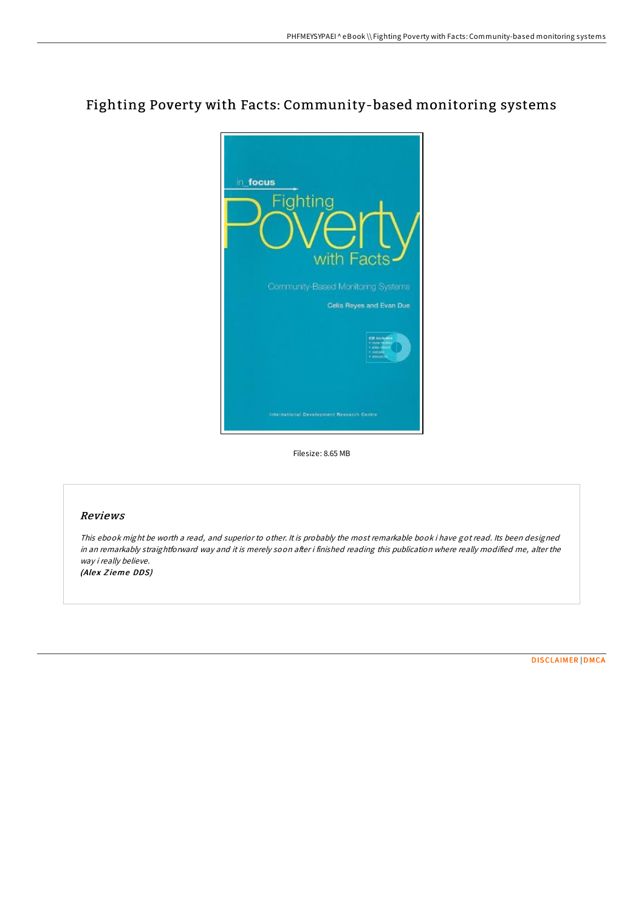# Fighting Poverty with Facts: Community-based monitoring systems



Filesize: 8.65 MB

### Reviews

This ebook might be worth <sup>a</sup> read, and superior to other. It is probably the most remarkable book i have got read. Its been designed in an remarkably straightforward way and it is merely soon after i finished reading this publication where really modified me, alter the way i really believe.

(Alex Zieme DDS)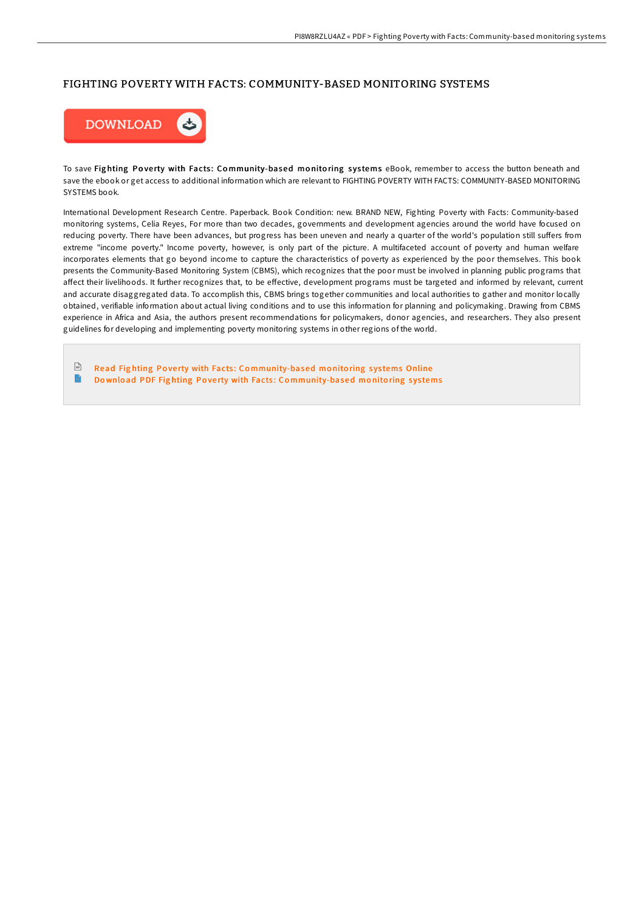#### FIGHTING POVERTY WITH FACTS: COMMUNITY-BASED MONITORING SYSTEMS



To save Fighting Poverty with Facts: Community-based monitoring systems eBook, remember to access the button beneath and save the ebook or get access to additional information which are relevant to FIGHTING POVERTY WITH FACTS: COMMUNITY-BASED MONITORING SYSTEMS book.

International Development Research Centre. Paperback. Book Condition: new. BRAND NEW, Fighting Poverty with Facts: Community-based monitoring systems, Celia Reyes, For more than two decades, governments and development agencies around the world have focused on reducing poverty. There have been advances, but progress has been uneven and nearly a quarter of the world's population still suffers from extreme "income poverty." Income poverty, however, is only part of the picture. A multifaceted account of poverty and human welfare incorporates elements that go beyond income to capture the characteristics of poverty as experienced by the poor themselves. This book presents the Community-Based Monitoring System (CBMS), which recognizes that the poor must be involved in planning public programs that affect their livelihoods. It further recognizes that, to be effective, development programs must be targeted and informed by relevant, current and accurate disaggregated data. To accomplish this, CBMS brings together communities and local authorities to gather and monitor locally obtained, verifiable information about actual living conditions and to use this information for planning and policymaking. Drawing from CBMS experience in Africa and Asia, the authors present recommendations for policymakers, donor agencies, and researchers. They also present guidelines for developing and implementing poverty monitoring systems in other regions of the world.

 $\sqrt{\frac{1}{n}}$ Read Fig hting Po ve rty with Facts : Co [mmunity-based](http://almighty24.tech/fighting-poverty-with-facts-community-based-moni.html) mo nito ring s ys tems Online B Download PDF Fighting Poverty with Facts: Co[mmunity-based](http://almighty24.tech/fighting-poverty-with-facts-community-based-moni.html) monitoring systems